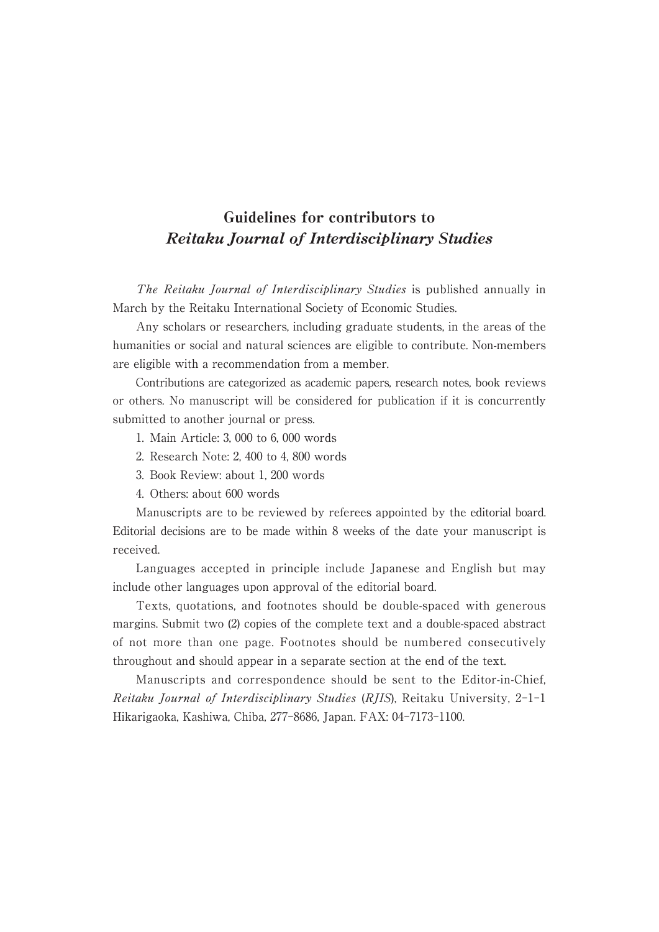## Guidelines for contributors to Reitaku Journal of Interdisciplinary Studies

The Reitaku Journal of Interdisciplinary Studies is published annually in March by the Reitaku International Society of Economic Studies.

Any scholars or researchers, including graduate students, in the areas of the humanities or social and natural sciences are eligible to contribute. Non-members are eligible with a recommendation from a member.

Contributions are categorized as academic papers, research notes, book reviews or others. No manuscript will be considered for publication if it is concurrently submitted to another journal or press.

- 1. Main Article: 3, 000 to 6, 000 words
- 2. Research Note: 2, 400 to 4, 800 words
- 3. Book Review: about 1, 200 words
- 4. Others: about 600 words

Manuscripts are to be reviewed by referees appointed by the editorial board. Editorial decisions are to be made within 8 weeks of the date your manuscript is received.

Languages accepted in principle include Japanese and English but may include other languages upon approval of the editorial board.

Texts, quotations, and footnotes should be double-spaced with generous margins. Submit two (2) copies of the complete text and a double-spaced abstract of not more than one page. Footnotes should be numbered consecutively throughout and should appear in a separate section at the end of the text.

Manuscripts and correspondence should be sent to the Editor-in-Chief, Reitaku Journal of Interdisciplinary Studies (RJIS), Reitaku University, 2-1-1 Hikarigaoka, Kashiwa, Chiba, 277-8686, Japan. FAX: 04-7173-1100.